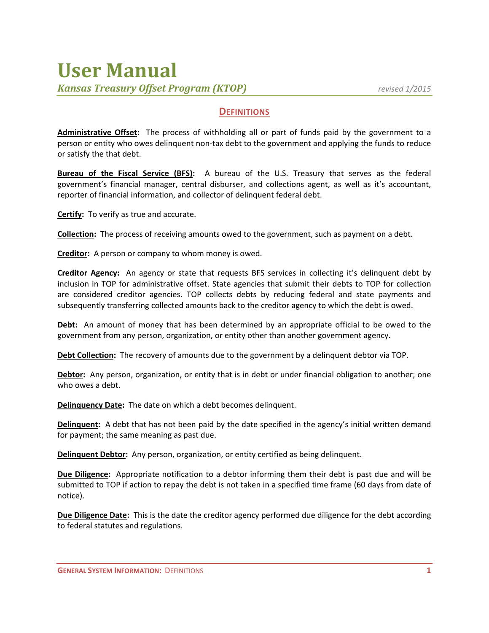## **User Manual** *Kansas Treasury Offset Program (KTOP) revised 1/2015*

## **DEFINITIONS**

**Administrative Offset:** The process of withholding all or part of funds paid by the government to a person or entity who owes delinquent non‐tax debt to the government and applying the funds to reduce or satisfy the that debt.

**Bureau of the Fiscal Service (BFS):** A bureau of the U.S. Treasury that serves as the federal government's financial manager, central disburser, and collections agent, as well as it's accountant, reporter of financial information, and collector of delinquent federal debt.

**Certify:** To verify as true and accurate.

**Collection:** The process of receiving amounts owed to the government, such as payment on a debt.

**Creditor:** A person or company to whom money is owed.

**Creditor Agency:** An agency or state that requests BFS services in collecting it's delinquent debt by inclusion in TOP for administrative offset. State agencies that submit their debts to TOP for collection are considered creditor agencies. TOP collects debts by reducing federal and state payments and subsequently transferring collected amounts back to the creditor agency to which the debt is owed.

**Debt:** An amount of money that has been determined by an appropriate official to be owed to the government from any person, organization, or entity other than another government agency.

**Debt Collection:** The recovery of amounts due to the government by a delinquent debtor via TOP.

**Debtor:** Any person, organization, or entity that is in debt or under financial obligation to another; one who owes a debt.

**Delinquency Date:** The date on which a debt becomes delinquent.

**Delinquent:** A debt that has not been paid by the date specified in the agency's initial written demand for payment; the same meaning as past due.

**Delinquent Debtor:** Any person, organization, or entity certified as being delinquent.

**Due Diligence:** Appropriate notification to a debtor informing them their debt is past due and will be submitted to TOP if action to repay the debt is not taken in a specified time frame (60 days from date of notice).

**Due Diligence Date:** This is the date the creditor agency performed due diligence for the debt according to federal statutes and regulations.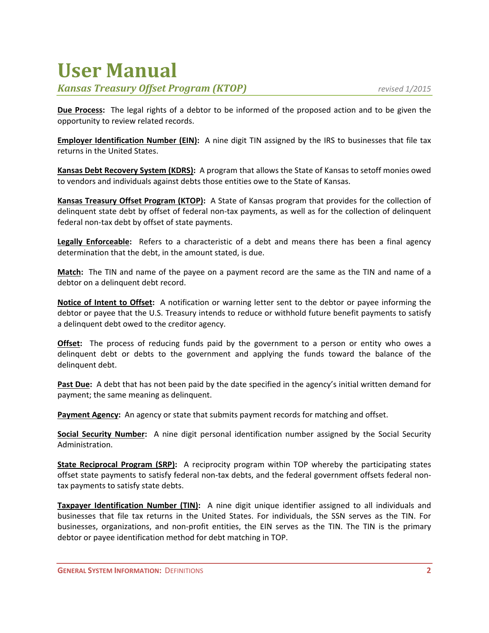## **User Manual**

*Kansas Treasury Offset Program (KTOP) revised 1/2015*

**Due Process:** The legal rights of a debtor to be informed of the proposed action and to be given the opportunity to review related records.

**Employer Identification Number (EIN):** A nine digit TIN assigned by the IRS to businesses that file tax returns in the United States.

**Kansas Debt Recovery System (KDRS):** A program that allows the State of Kansas to setoff monies owed to vendors and individuals against debts those entities owe to the State of Kansas.

**Kansas Treasury Offset Program (KTOP):** A State of Kansas program that provides for the collection of delinquent state debt by offset of federal non-tax payments, as well as for the collection of delinquent federal non‐tax debt by offset of state payments.

**Legally Enforceable:** Refers to a characteristic of a debt and means there has been a final agency determination that the debt, in the amount stated, is due.

**Match:** The TIN and name of the payee on a payment record are the same as the TIN and name of a debtor on a delinquent debt record.

**Notice of Intent to Offset:** A notification or warning letter sent to the debtor or payee informing the debtor or payee that the U.S. Treasury intends to reduce or withhold future benefit payments to satisfy a delinquent debt owed to the creditor agency.

**Offset:** The process of reducing funds paid by the government to a person or entity who owes a delinquent debt or debts to the government and applying the funds toward the balance of the delinquent debt.

**Past Due:** A debt that has not been paid by the date specified in the agency's initial written demand for payment; the same meaning as delinquent.

**Payment Agency:** An agency or state that submits payment records for matching and offset.

**Social Security Number:** A nine digit personal identification number assigned by the Social Security Administration.

**State Reciprocal Program (SRP):** A reciprocity program within TOP whereby the participating states offset state payments to satisfy federal non‐tax debts, and the federal government offsets federal non‐ tax payments to satisfy state debts.

**Taxpayer Identification Number (TIN):** A nine digit unique identifier assigned to all individuals and businesses that file tax returns in the United States. For individuals, the SSN serves as the TIN. For businesses, organizations, and non‐profit entities, the EIN serves as the TIN. The TIN is the primary debtor or payee identification method for debt matching in TOP.